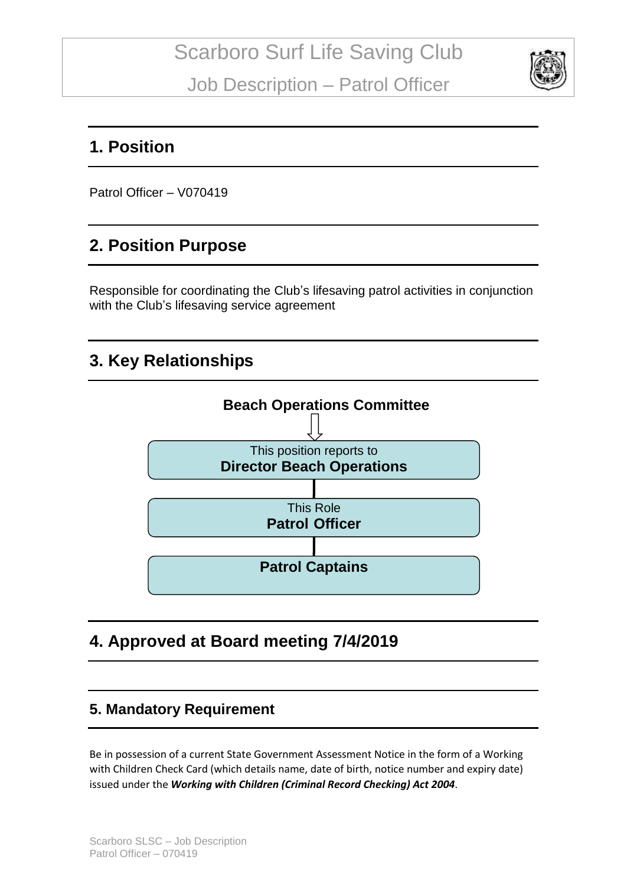

## **1. Position**

Patrol Officer – V070419

# **2. Position Purpose**

Responsible for coordinating the Club's lifesaving patrol activities in conjunction with the Club's lifesaving service agreement

# **3. Key Relationships**



# **4. Approved at Board meeting 7/4/2019**

### **5. Mandatory Requirement**

Be in possession of a current State Government Assessment Notice in the form of a Working with Children Check Card (which details name, date of birth, notice number and expiry date) issued under the *Working with Children (Criminal Record Checking) Act 2004*.